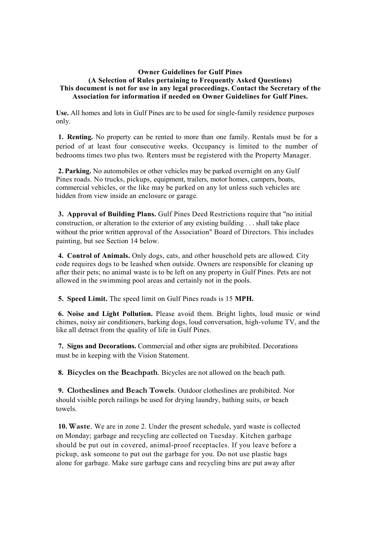## **Owner Guidelines for Gulf Pines (A Selection of Rules pertaining to Frequently Asked Questions) This document is not for use in any legal proceedings. Contact the Secretary of the Association for information if needed on Owner Guidelines for Gulf Pines.**

**Use.** All homes and lots in Gulf Pines are to be used for single-family residence purposes only.

**1. Renting.** No property can be rented to more than one family. Rentals must be for a period of at least four consecutive weeks. Occupancy is limited to the number of bedrooms times two plus two. Renters must be registered with the Property Manager.

**2. Parking.** No automobiles or other vehicles may be parked overnight on any Gulf Pines roads. No trucks, pickups, equipment, trailers, motor homes, campers, boats, commercial vehicles, or the like may be parked on any lot unless such vehicles are hidden from view inside an enclosure or garage.

**3. Approval of Building Plans.** Gulf Pines Deed Restrictions require that "no initial construction, or alteration to the exterior of any existing building . . . shall take place without the prior written approval of the Association" Board of Directors. This includes painting, but see Section 14 below.

**4. Control of Animals.** Only dogs, cats, and other household pets are allowed. City code requires dogs to be leashed when outside. Owners are responsible for cleaning up after their pets; no animal waste is to be left on any property in Gulf Pines. Pets are not allowed in the swimming pool areas and certainly not in the pools.

**5. Speed Limit.** The speed limit on Gulf Pines roads is 15 **MPH.**

**6. Noise and Light Pollution.** Please avoid them. Bright lights, loud music or wind chimes, noisy air conditioners, barking dogs, loud conversation, high-volume TV, and the like all detract from the quality of life in Gulf Pines.

**7. Signs and Decorations.** Commercial and other signs are prohibited. Decorations must be in keeping with the Vision Statement.

**8. Bicycles on the Beachpath**. Bicycles are not allowed on the beach path.

**9. Clotheslines and Beach Towels**. Outdoor clotheslines are prohibited. Nor should visible porch railings be used for drying laundry, bathing suits, or beach towels.

**10. Waste**. We are in zone 2. Under the present schedule, yard waste is collected on Monday; garbage and recycling are collected on Tuesday. Kitchen garbage should be put out in covered, animal-proof receptacles. If you leave before a pickup, ask someone to put out the garbage for you. Do not use plastic bags alone for garbage. Make sure garbage cans and recycling bins are put away after